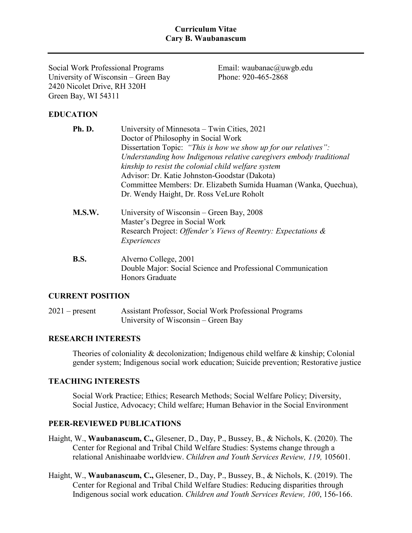#### **Curriculum Vitae Cary B. Waubanascum**

Social Work Professional Programs University of Wisconsin – Green Bay 2420 Nicolet Drive, RH 320H Green Bay, WI 54311

Email: waubanac@uwgb.edu Phone: 920-465-2868

# **EDUCATION**

| Ph.D.       | University of Minnesota – Twin Cities, 2021                         |
|-------------|---------------------------------------------------------------------|
|             | Doctor of Philosophy in Social Work                                 |
|             | Dissertation Topic: "This is how we show up for our relatives":     |
|             | Understanding how Indigenous relative caregivers embody traditional |
|             | kinship to resist the colonial child welfare system                 |
|             | Advisor: Dr. Katie Johnston-Goodstar (Dakota)                       |
|             | Committee Members: Dr. Elizabeth Sumida Huaman (Wanka, Quechua),    |
|             | Dr. Wendy Haight, Dr. Ross VeLure Roholt                            |
| M.S.W.      | University of Wisconsin – Green Bay, 2008                           |
|             | Master's Degree in Social Work                                      |
|             | Research Project: Offender's Views of Reentry: Expectations &       |
|             | Experiences                                                         |
| <b>B.S.</b> | Alverno College, 2001                                               |
|             | Double Major: Social Science and Professional Communication         |
|             | <b>Honors Graduate</b>                                              |

#### **CURRENT POSITION**

2021 – present Assistant Professor, Social Work Professional Programs University of Wisconsin – Green Bay

## **RESEARCH INTERESTS**

Theories of coloniality & decolonization; Indigenous child welfare & kinship; Colonial gender system; Indigenous social work education; Suicide prevention; Restorative justice

#### **TEACHING INTERESTS**

Social Work Practice; Ethics; Research Methods; Social Welfare Policy; Diversity, Social Justice, Advocacy; Child welfare; Human Behavior in the Social Environment

#### **PEER-REVIEWED PUBLICATIONS**

Haight, W., **Waubanascum, C.,** Glesener, D., Day, P., Bussey, B., & Nichols, K. (2020). The Center for Regional and Tribal Child Welfare Studies: Systems change through a relational Anishinaabe worldview. *Children and Youth Services Review, 119,* 105601.

Haight, W., **Waubanascum, C.,** Glesener, D., Day, P., Bussey, B., & Nichols, K. (2019). The Center for Regional and Tribal Child Welfare Studies: Reducing disparities through Indigenous social work education. *Children and Youth Services Review, 100*, 156-166.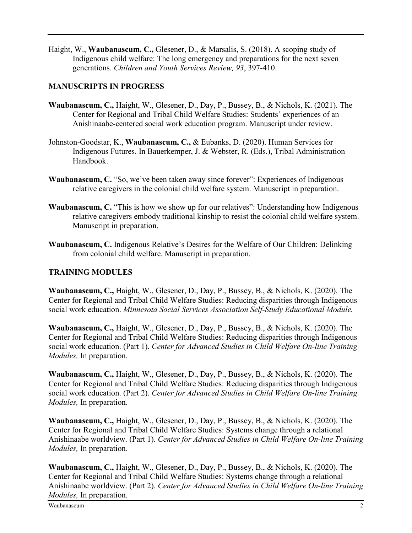Haight, W., **Waubanascum, C.,** Glesener, D., & Marsalis, S. (2018). A scoping study of Indigenous child welfare: The long emergency and preparations for the next seven generations. *Children and Youth Services Review, 93*, 397-410.

# **MANUSCRIPTS IN PROGRESS**

- **Waubanascum, C.,** Haight, W., Glesener, D., Day, P., Bussey, B., & Nichols, K. (2021). The Center for Regional and Tribal Child Welfare Studies: Students' experiences of an Anishinaabe-centered social work education program. Manuscript under review.
- Johnston-Goodstar, K., **Waubanascum, C.,** & Eubanks, D. (2020). Human Services for Indigenous Futures. In Bauerkemper, J. & Webster, R. (Eds.), Tribal Administration Handbook.
- **Waubanascum, C.** "So, we've been taken away since forever": Experiences of Indigenous relative caregivers in the colonial child welfare system. Manuscript in preparation.
- **Waubanascum, C.** "This is how we show up for our relatives": Understanding how Indigenous relative caregivers embody traditional kinship to resist the colonial child welfare system. Manuscript in preparation.
- **Waubanascum, C.** Indigenous Relative's Desires for the Welfare of Our Children: Delinking from colonial child welfare. Manuscript in preparation.

# **TRAINING MODULES**

**Waubanascum, C.,** Haight, W., Glesener, D., Day, P., Bussey, B., & Nichols, K. (2020). The Center for Regional and Tribal Child Welfare Studies: Reducing disparities through Indigenous social work education. *Minnesota Social Services Association Self-Study Educational Module.*

**Waubanascum, C.,** Haight, W., Glesener, D., Day, P., Bussey, B., & Nichols, K. (2020). The Center for Regional and Tribal Child Welfare Studies: Reducing disparities through Indigenous social work education. (Part 1). *Center for Advanced Studies in Child Welfare On*-*line Training Modules,* In preparation.

**Waubanascum, C.,** Haight, W., Glesener, D., Day, P., Bussey, B., & Nichols, K. (2020). The Center for Regional and Tribal Child Welfare Studies: Reducing disparities through Indigenous social work education. (Part 2). *Center for Advanced Studies in Child Welfare On*-*line Training Modules,* In preparation.

**Waubanascum, C.,** Haight, W., Glesener, D., Day, P., Bussey, B., & Nichols, K. (2020). The Center for Regional and Tribal Child Welfare Studies: Systems change through a relational Anishinaabe worldview. (Part 1). *Center for Advanced Studies in Child Welfare On*-*line Training Modules,* In preparation.

**Waubanascum, C.,** Haight, W., Glesener, D., Day, P., Bussey, B., & Nichols, K. (2020). The Center for Regional and Tribal Child Welfare Studies: Systems change through a relational Anishinaabe worldview. (Part 2). *Center for Advanced Studies in Child Welfare On*-*line Training Modules,* In preparation.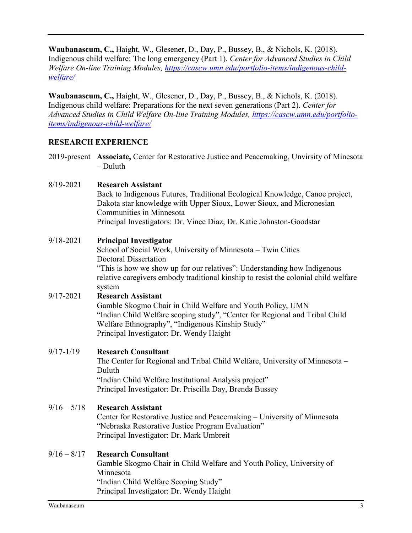**Waubanascum, C.,** Haight, W., Glesener, D., Day, P., Bussey, B., & Nichols, K. (2018). Indigenous child welfare: The long emergency (Part 1). *Center for Advanced Studies in Child Welfare On*-*line Training Modules, [https://cascw.umn.edu/portfolio-items/indigenous-child](https://cascw.umn.edu/portfolio-items/indigenous-child-welfare/)[welfare/](https://cascw.umn.edu/portfolio-items/indigenous-child-welfare/)*

**Waubanascum, C.,** Haight, W., Glesener, D., Day, P., Bussey, B., & Nichols, K. (2018). Indigenous child welfare: Preparations for the next seven generations (Part 2). *Center for Advanced Studies in Child Welfare On*-*line Training Modules, [https://cascw.umn.edu/portfolio](https://cascw.umn.edu/portfolio-items/indigenous-child-welfare/)[items/indigenous-child-welfare/](https://cascw.umn.edu/portfolio-items/indigenous-child-welfare/)*

# **RESEARCH EXPERIENCE**

2019-present **Associate,** Center for Restorative Justice and Peacemaking, Unvirsity of Minesota – Duluth

## 8/19-2021 **Research Assistant**

Back to Indigenous Futures, Traditional Ecological Knowledge, Canoe project, Dakota star knowledge with Upper Sioux, Lower Sioux, and Micronesian Communities in Minnesota Principal Investigators: Dr. Vince Diaz, Dr. Katie Johnston-Goodstar

## 9/18-2021 **Principal Investigator**

School of Social Work, University of Minnesota – Twin Cities Doctoral Dissertation "This is how we show up for our relatives": Understanding how Indigenous relative caregivers embody traditional kinship to resist the colonial child welfare system

#### 9/17-2021 **Research Assistant**

Gamble Skogmo Chair in Child Welfare and Youth Policy, UMN "Indian Child Welfare scoping study", "Center for Regional and Tribal Child Welfare Ethnography", "Indigenous Kinship Study" Principal Investigator: Dr. Wendy Haight

#### 9/17-1/19 **Research Consultant**

The Center for Regional and Tribal Child Welfare, University of Minnesota – Duluth "Indian Child Welfare Institutional Analysis project" Principal Investigator: Dr. Priscilla Day, Brenda Bussey

# 9/16 – 5/18 **Research Assistant**

Center for Restorative Justice and Peacemaking – University of Minnesota "Nebraska Restorative Justice Program Evaluation" Principal Investigator: Dr. Mark Umbreit

#### 9/16 – 8/17 **Research Consultant**

Gamble Skogmo Chair in Child Welfare and Youth Policy, University of Minnesota "Indian Child Welfare Scoping Study" Principal Investigator: Dr. Wendy Haight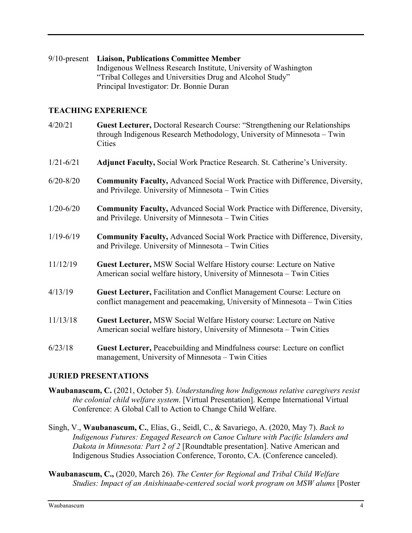9/10-present **Liaison, Publications Committee Member** Indigenous Wellness Research Institute, University of Washington "Tribal Colleges and Universities Drug and Alcohol Study" Principal Investigator: Dr. Bonnie Duran

# **TEACHING EXPERIENCE**

- 4/20/21 **Guest Lecturer,** Doctoral Research Course: "Strengthening our Relationships through Indigenous Research Methodology, University of Minnesota – Twin **Cities**
- 1/21-6/21 **Adjunct Faculty,** Social Work Practice Research. St. Catherine's University.
- 6/20-8/20 **Community Faculty,** Advanced Social Work Practice with Difference, Diversity, and Privilege. University of Minnesota – Twin Cities
- 1/20-6/20 **Community Faculty,** Advanced Social Work Practice with Difference, Diversity, and Privilege. University of Minnesota – Twin Cities
- 1/19-6/19 **Community Faculty,** Advanced Social Work Practice with Difference, Diversity, and Privilege. University of Minnesota – Twin Cities
- 11/12/19 **Guest Lecturer,** MSW Social Welfare History course: Lecture on Native American social welfare history, University of Minnesota – Twin Cities
- 4/13/19 **Guest Lecturer,** Facilitation and Conflict Management Course: Lecture on conflict management and peacemaking, University of Minnesota – Twin Cities
- 11/13/18 **Guest Lecturer,** MSW Social Welfare History course: Lecture on Native American social welfare history, University of Minnesota – Twin Cities
- 6/23/18 **Guest Lecturer,** Peacebuilding and Mindfulness course: Lecture on conflict management, University of Minnesota – Twin Cities

## **JURIED PRESENTATIONS**

- **Waubanascum, C.** (2021, October 5). *Understanding how Indigenous relative caregivers resist the colonial child welfare system*. [Virtual Presentation]. Kempe International Virtual Conference: A Global Call to Action to Change Child Welfare.
- Singh, V., **Waubanascum, C.**, Elias, G., Seidl, C., & Savariego, A. (2020, May 7). *Back to Indigenous Futures: Engaged Research on Canoe Culture with Pacific Islanders and Dakota in Minnesota: Part 2 of 2* [Roundtable presentation]. Native American and Indigenous Studies Association Conference, Toronto, CA. (Conference canceled).
- **Waubanascum, C.,** (2020, March 26). *The Center for Regional and Tribal Child Welfare Studies: Impact of an Anishinaabe-centered social work program on MSW alums* [Poster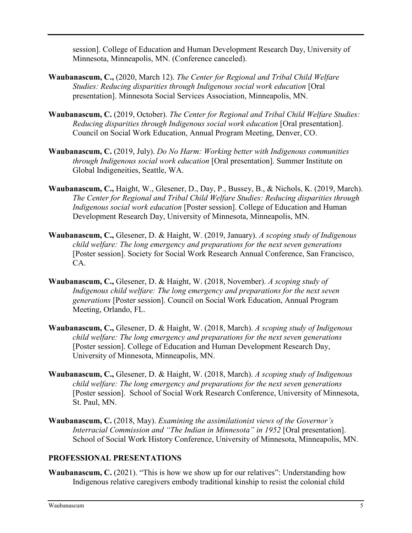session]. College of Education and Human Development Research Day, University of Minnesota, Minneapolis, MN. (Conference canceled).

- **Waubanascum, C.,** (2020, March 12). *The Center for Regional and Tribal Child Welfare Studies: Reducing disparities through Indigenous social work education* **[Oral]** presentation]. Minnesota Social Services Association, Minneapolis, MN.
- **Waubanascum, C.** (2019, October). *The Center for Regional and Tribal Child Welfare Studies: Reducing disparities through Indigenous social work education* [Oral presentation]. Council on Social Work Education, Annual Program Meeting, Denver, CO.
- **Waubanascum, C.** (2019, July). *Do No Harm: Working better with Indigenous communities through Indigenous social work education* [Oral presentation]. Summer Institute on Global Indigeneities, Seattle, WA.
- **Waubanascum, C.,** Haight, W., Glesener, D., Day, P., Bussey, B., & Nichols, K. (2019, March). *The Center for Regional and Tribal Child Welfare Studies: Reducing disparities through Indigenous social work education* [Poster session]. College of Education and Human Development Research Day, University of Minnesota, Minneapolis, MN.
- **Waubanascum, C.,** Glesener, D. & Haight, W. (2019, January). *A scoping study of Indigenous child welfare: The long emergency and preparations for the next seven generations* [Poster session]. Society for Social Work Research Annual Conference, San Francisco, CA.
- **Waubanascum, C.,** Glesener, D. & Haight, W. (2018, November). *A scoping study of Indigenous child welfare: The long emergency and preparations for the next seven generations* [Poster session]. Council on Social Work Education, Annual Program Meeting, Orlando, FL.
- **Waubanascum, C.,** Glesener, D. & Haight, W. (2018, March). *A scoping study of Indigenous child welfare: The long emergency and preparations for the next seven generations* [Poster session]. College of Education and Human Development Research Day, University of Minnesota, Minneapolis, MN.
- **Waubanascum, C.,** Glesener, D. & Haight, W. (2018, March). *A scoping study of Indigenous child welfare: The long emergency and preparations for the next seven generations* [Poster session]. School of Social Work Research Conference, University of Minnesota, St. Paul, MN.
- **Waubanascum, C.** (2018, May). *Examining the assimilationist views of the Governor's Interracial Commission and "The Indian in Minnesota" in 1952* [Oral presentation]. School of Social Work History Conference, University of Minnesota, Minneapolis, MN.

## **PROFESSIONAL PRESENTATIONS**

**Waubanascum, C.** (2021). "This is how we show up for our relatives": Understanding how Indigenous relative caregivers embody traditional kinship to resist the colonial child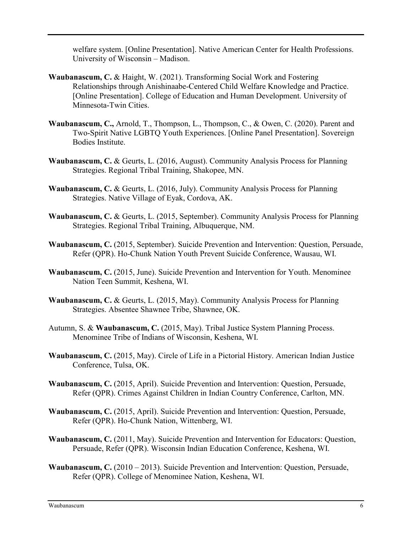welfare system. [Online Presentation]. Native American Center for Health Professions. University of Wisconsin – Madison.

- **Waubanascum, C.** & Haight, W. (2021). Transforming Social Work and Fostering Relationships through Anishinaabe-Centered Child Welfare Knowledge and Practice. [Online Presentation]. College of Education and Human Development. University of Minnesota-Twin Cities.
- **Waubanascum, C.,** Arnold, T., Thompson, L., Thompson, C., & Owen, C. (2020). Parent and Two-Spirit Native LGBTQ Youth Experiences. [Online Panel Presentation]. Sovereign Bodies Institute.
- **Waubanascum, C.** & Geurts, L. (2016, August). Community Analysis Process for Planning Strategies. Regional Tribal Training, Shakopee, MN.
- **Waubanascum, C.** & Geurts, L. (2016, July). Community Analysis Process for Planning Strategies. Native Village of Eyak, Cordova, AK.
- **Waubanascum, C.** & Geurts, L. (2015, September). Community Analysis Process for Planning Strategies. Regional Tribal Training, Albuquerque, NM.
- **Waubanascum, C.** (2015, September). Suicide Prevention and Intervention: Question, Persuade, Refer (QPR). Ho-Chunk Nation Youth Prevent Suicide Conference, Wausau, WI.
- **Waubanascum, C.** (2015, June). Suicide Prevention and Intervention for Youth. Menominee Nation Teen Summit, Keshena, WI.
- **Waubanascum, C.** & Geurts, L. (2015, May). Community Analysis Process for Planning Strategies. Absentee Shawnee Tribe, Shawnee, OK.
- Autumn, S. & **Waubanascum, C.** (2015, May). Tribal Justice System Planning Process. Menominee Tribe of Indians of Wisconsin, Keshena, WI.
- **Waubanascum, C.** (2015, May). Circle of Life in a Pictorial History. American Indian Justice Conference, Tulsa, OK.
- **Waubanascum, C.** (2015, April). Suicide Prevention and Intervention: Question, Persuade, Refer (QPR). Crimes Against Children in Indian Country Conference, Carlton, MN.
- **Waubanascum, C.** (2015, April). Suicide Prevention and Intervention: Question, Persuade, Refer (QPR). Ho-Chunk Nation, Wittenberg, WI.
- **Waubanascum, C.** (2011, May). Suicide Prevention and Intervention for Educators: Question, Persuade, Refer (QPR). Wisconsin Indian Education Conference, Keshena, WI.
- **Waubanascum, C.** (2010 2013). Suicide Prevention and Intervention: Question, Persuade, Refer (QPR). College of Menominee Nation, Keshena, WI.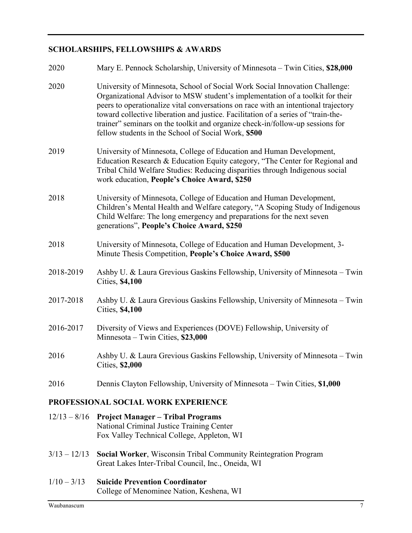# **SCHOLARSHIPS, FELLOWSHIPS & AWARDS**

| 2020                                | Mary E. Pennock Scholarship, University of Minnesota – Twin Cities, \$28,000                                                                                                                                                                                                                                                                                                                                                                                                    |  |
|-------------------------------------|---------------------------------------------------------------------------------------------------------------------------------------------------------------------------------------------------------------------------------------------------------------------------------------------------------------------------------------------------------------------------------------------------------------------------------------------------------------------------------|--|
| 2020                                | University of Minnesota, School of Social Work Social Innovation Challenge:<br>Organizational Advisor to MSW student's implementation of a toolkit for their<br>peers to operationalize vital conversations on race with an intentional trajectory<br>toward collective liberation and justice. Facilitation of a series of "train-the-<br>trainer" seminars on the toolkit and organize check-in/follow-up sessions for<br>fellow students in the School of Social Work, \$500 |  |
| 2019                                | University of Minnesota, College of Education and Human Development,<br>Education Research & Education Equity category, "The Center for Regional and<br>Tribal Child Welfare Studies: Reducing disparities through Indigenous social<br>work education, People's Choice Award, \$250                                                                                                                                                                                            |  |
| 2018                                | University of Minnesota, College of Education and Human Development,<br>Children's Mental Health and Welfare category, "A Scoping Study of Indigenous<br>Child Welfare: The long emergency and preparations for the next seven<br>generations", People's Choice Award, \$250                                                                                                                                                                                                    |  |
| 2018                                | University of Minnesota, College of Education and Human Development, 3-<br>Minute Thesis Competition, People's Choice Award, \$500                                                                                                                                                                                                                                                                                                                                              |  |
| 2018-2019                           | Ashby U. & Laura Grevious Gaskins Fellowship, University of Minnesota – Twin<br><b>Cities, \$4,100</b>                                                                                                                                                                                                                                                                                                                                                                          |  |
| 2017-2018                           | Ashby U. & Laura Grevious Gaskins Fellowship, University of Minnesota – Twin<br><b>Cities, \$4,100</b>                                                                                                                                                                                                                                                                                                                                                                          |  |
| 2016-2017                           | Diversity of Views and Experiences (DOVE) Fellowship, University of<br>Minnesota – Twin Cities, \$23,000                                                                                                                                                                                                                                                                                                                                                                        |  |
| 2016                                | Ashby U. & Laura Grevious Gaskins Fellowship, University of Minnesota – Twin<br>Cities, \$2,000                                                                                                                                                                                                                                                                                                                                                                                 |  |
| 2016                                | Dennis Clayton Fellowship, University of Minnesota – Twin Cities, \$1,000                                                                                                                                                                                                                                                                                                                                                                                                       |  |
| PROFESSIONAL SOCIAL WORK EXPERIENCE |                                                                                                                                                                                                                                                                                                                                                                                                                                                                                 |  |
| $12/13 - 8/16$                      | <b>Project Manager - Tribal Programs</b><br>National Criminal Justice Training Center<br>Fox Valley Technical College, Appleton, WI                                                                                                                                                                                                                                                                                                                                             |  |
| $3/13 - 12/13$                      | Social Worker, Wisconsin Tribal Community Reintegration Program<br>Great Lakes Inter-Tribal Council, Inc., Oneida, WI                                                                                                                                                                                                                                                                                                                                                           |  |

1/10 – 3/13 **Suicide Prevention Coordinator** College of Menominee Nation, Keshena, WI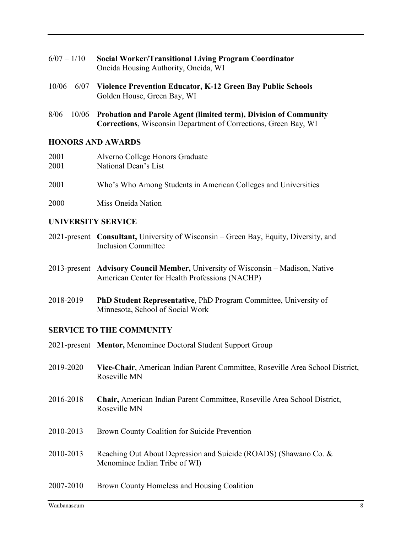| $6/07 - 1/10$ | <b>Social Worker/Transitional Living Program Coordinator</b> |
|---------------|--------------------------------------------------------------|
|               | Oneida Housing Authority, Oneida, WI                         |

- 10/06 6/07 **Violence Prevention Educator, K-12 Green Bay Public Schools** Golden House, Green Bay, WI
- 8/06 10/06 **Probation and Parole Agent (limited term), Division of Community Corrections**, Wisconsin Department of Corrections, Green Bay, WI

#### **HONORS AND AWARDS**

| 2001 | Alverno College Honors Graduate                                |
|------|----------------------------------------------------------------|
| 2001 | National Dean's List                                           |
| 2001 | Who's Who Among Students in American Colleges and Universities |

2000 Miss Oneida Nation

### **UNIVERSITY SERVICE**

- 2021-present **Consultant,** University of Wisconsin Green Bay, Equity, Diversity, and Inclusion Committee
- 2013-present **Advisory Council Member,** University of Wisconsin Madison, Native American Center for Health Professions (NACHP)
- 2018-2019 **PhD Student Representative**, PhD Program Committee, University of Minnesota, School of Social Work

## **SERVICE TO THE COMMUNITY**

|           | 2021-present Mentor, Menominee Doctoral Student Support Group                                     |
|-----------|---------------------------------------------------------------------------------------------------|
| 2019-2020 | Vice-Chair, American Indian Parent Committee, Roseville Area School District,<br>Roseville MN     |
| 2016-2018 | Chair, American Indian Parent Committee, Roseville Area School District,<br>Roseville MN          |
| 2010-2013 | Brown County Coalition for Suicide Prevention                                                     |
| 2010-2013 | Reaching Out About Depression and Suicide (ROADS) (Shawano Co. &<br>Menominee Indian Tribe of WI) |
| 2007-2010 | Brown County Homeless and Housing Coalition                                                       |